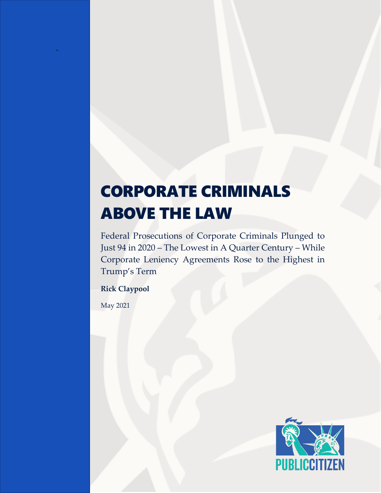# CORPORATE CRIMINALS ABOVE THE LAW

Federal Prosecutions of Corporate Criminals Plunged to Just 94 in 2020 – The Lowest in A Quarter Century – While Corporate Leniency Agreements Rose to the Highest in Trump's Term

**Rick Claypool**

May 2021

-

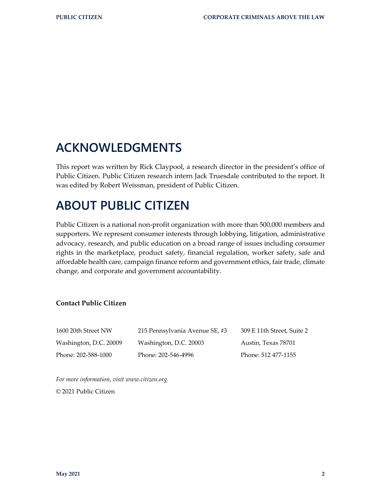# **ACKNOWLEDGMENTS**

This report was written by Rick Claypool, a research director in the president's office of Public Citizen. Public Citizen research intern Jack Truesdale contributed to the report. It was edited by Robert Weissman, president of Public Citizen.

# **ABOUT PUBLIC CITIZEN**

Public Citizen is a national non-profit organization with more than 500,000 members and supporters. We represent consumer interests through lobbying, litigation, administrative advocacy, research, and public education on a broad range of issues including consumer rights in the marketplace, product safety, financial regulation, worker safety, safe and affordable health care, campaign finance reform and government ethics, fair trade, climate change, and corporate and government accountability.

#### **Contact Public Citizen**

| 1600 20th Street NW    | 215 Pennsylvania Avenue SE, #3 | 309 E 11th Street, Suite 2 |
|------------------------|--------------------------------|----------------------------|
| Washington, D.C. 20009 | Washington, D.C. 20003         | Austin, Texas 78701        |
| Phone: 202-588-1000    | Phone: 202-546-4996            | Phone: 512 477-1155        |

*For more information, visit [www.citizen.org.](http://www.citizen.org/)* © 2021 Public Citizen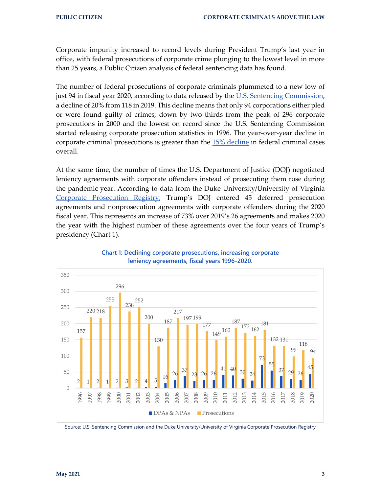Corporate impunity increased to record levels during President Trump's last year in office, with federal prosecutions of corporate crime plunging to the lowest level in more than 25 years, a Public Citizen analysis of federal sentencing data has found.

The number of federal prosecutions of corporate criminals plummeted to a new low of just 94 in fiscal year 2020, according to data released by the [U.S. Sentencing Commission,](https://www.ussc.gov/sites/default/files/pdf/research-and-publications/annual-reports-and-sourcebooks/2020/2020-Annual-Report-and-Sourcebook.pdf) a decline of 20% from 118 in 2019. This decline means that only 94 corporations either pled or were found guilty of crimes, down by two thirds from the peak of 296 corporate prosecutions in 2000 and the lowest on record since the U.S. Sentencing Commission started releasing corporate prosecution statistics in 1996. The year-over-year decline in corporate criminal prosecutions is greater than the [15% decline](https://www.law360.com/publicpolicy/articles/1372204/federal-criminal-cases-dropped-in-2020-amid-pandemic) in federal criminal cases overall.

At the same time, the number of times the U.S. Department of Justice (DOJ) negotiated leniency agreements with corporate offenders instead of prosecuting them rose during the pandemic year. According to data from the Duke University/University of Virginia [Corporate Prosecution Registry,](https://corporate-prosecution-registry.com/) Trump's DOJ entered 45 deferred prosecution agreements and nonprosecution agreements with corporate offenders during the 2020 fiscal year. This represents an increase of 73% over 2019's 26 agreements and makes 2020 the year with the highest number of these agreements over the four years of Trump's presidency (Chart 1).



#### **Chart 1: Declining corporate prosecutions, increasing corporate leniency agreements, fiscal years 1996-2020.**

Source: U.S. Sentencing Commission and the Duke University/University of Virginia Corporate Prosecution Registry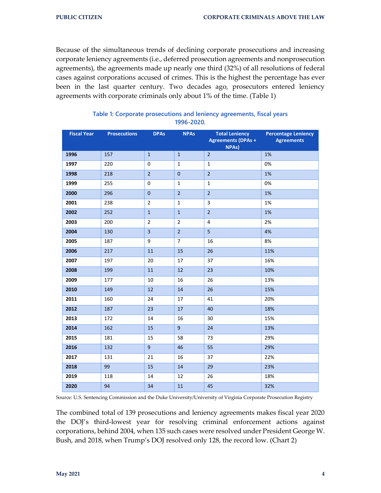Because of the simultaneous trends of declining corporate prosecutions and increasing corporate leniency agreements (i.e., deferred prosecution agreements and nonprosecution agreements), the agreements made up nearly one third (32%) of all resolutions of federal cases against corporations accused of crimes. This is the highest the percentage has ever been in the last quarter century. Two decades ago, prosecutors entered leniency agreements with corporate criminals only about 1% of the time. (Table 1)

| <b>Fiscal Year</b> | <b>Prosecutions</b> | <b>DPAs</b>    | <b>NPAs</b>      | <b>Total Leniency</b><br><b>Agreements (DPAs +</b><br><b>NPAs)</b> | <b>Percentage Leniency</b><br><b>Agreements</b> |
|--------------------|---------------------|----------------|------------------|--------------------------------------------------------------------|-------------------------------------------------|
| 1996               | 157                 | $\mathbf{1}$   | $\mathbf 1$      | $\overline{2}$                                                     | 1%                                              |
| 1997               | 220                 | $\mathbf 0$    | $\mathbf{1}$     | $\mathbf{1}$                                                       | 0%                                              |
| 1998               | 218                 | $\overline{2}$ | $\mathbf 0$      | $\overline{2}$                                                     | 1%                                              |
| 1999               | 255                 | $\mathbf 0$    | $1\,$            | $\mathbf{1}$                                                       | 0%                                              |
| 2000               | 296                 | $\mathbf 0$    | $\overline{2}$   | $\overline{2}$                                                     | 1%                                              |
| 2001               | 238                 | $\overline{2}$ | $\mathbf{1}$     | 3                                                                  | 1%                                              |
| 2002               | 252                 | $\mathbf{1}$   | $\mathbf{1}$     | $\overline{2}$                                                     | 1%                                              |
| 2003               | 200                 | $\overline{2}$ | $\overline{2}$   | 4                                                                  | 2%                                              |
| 2004               | 130                 | $\overline{3}$ | $\mathbf 2$      | 5                                                                  | 4%                                              |
| 2005               | 187                 | 9              | $\overline{7}$   | 16                                                                 | 8%                                              |
| 2006               | 217                 | 11             | 15               | 26                                                                 | 11%                                             |
| 2007               | 197                 | 20             | 17               | 37                                                                 | 16%                                             |
| 2008               | 199                 | 11             | 12               | 23                                                                 | 10%                                             |
| 2009               | 177                 | 10             | 16               | 26                                                                 | 13%                                             |
| 2010               | 149                 | 12             | 14               | 26                                                                 | 15%                                             |
| 2011               | 160                 | 24             | 17               | 41                                                                 | 20%                                             |
| 2012               | 187                 | 23             | 17               | 40                                                                 | 18%                                             |
| 2013               | 172                 | 14             | 16               | 30                                                                 | 15%                                             |
| 2014               | 162                 | 15             | $\boldsymbol{9}$ | 24                                                                 | 13%                                             |
| 2015               | 181                 | 15             | 58               | 73                                                                 | 29%                                             |
| 2016               | 132                 | $\overline{9}$ | 46               | 55                                                                 | 29%                                             |
| 2017               | 131                 | 21             | 16               | 37                                                                 | 22%                                             |
| 2018               | 99                  | 15             | 14               | 29                                                                 | 23%                                             |
| 2019               | 118                 | 14             | 12               | 26                                                                 | 18%                                             |
| 2020               | 94                  | 34             | 11               | 45                                                                 | 32%                                             |

#### **Table 1: Corporate prosecutions and leniency agreements, fiscal years 1996-2020.**

Source: U.S. Sentencing Commission and the Duke University/University of Virginia Corporate Prosecution Registry

The combined total of 139 prosecutions and leniency agreements makes fiscal year 2020 the DOJ's third-lowest year for resolving criminal enforcement actions against corporations, behind 2004, when 135 such cases were resolved under President George W. Bush, and 2018, when Trump's DOJ resolved only 128, the record low. (Chart 2)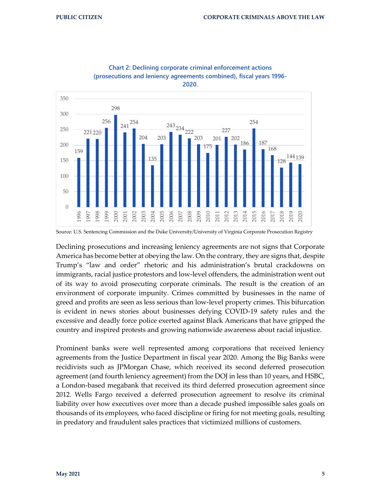



Declining prosecutions and increasing leniency agreements are not signs that Corporate America has become better at obeying the law. On the contrary, they are signs that, despite Trump's "law and order" rhetoric and his administration's brutal crackdowns on immigrants, racial justice protestors and low-level offenders, the administration went out of its way to avoid prosecuting corporate criminals. The result is the creation of an environment of corporate impunity. Crimes committed by businesses in the name of greed and profits are seen as less serious than low-level property crimes. This bifurcation is evident in news stories about businesses defying COVID-19 safety rules and the excessive and deadly force police exerted against Black Americans that have gripped the country and inspired protests and growing nationwide awareness about racial injustice.

Prominent banks were well represented among corporations that received leniency agreements from the Justice Department in fiscal year 2020. Among the Big Banks were recidivists such as JPMorgan Chase, which received its second deferred prosecution agreement (and fourth leniency agreement) from the DOJ in less than 10 years, and HSBC, a London-based megabank that received its third deferred prosecution agreement since 2012. Wells Fargo received a deferred prosecution agreement to resolve its criminal liability over how executives over more than a decade pushed impossible sales goals on thousands of its employees, who faced discipline or firing for not meeting goals, resulting in predatory and fraudulent sales practices that victimized millions of customers.

Source: U.S. Sentencing Commission and the Duke University/University of Virginia Corporate Prosecution Registry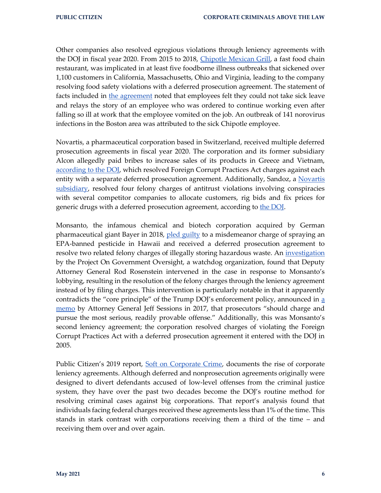Other companies also resolved egregious violations through leniency agreements with the DOJ in fiscal year 2020. From 2015 to 2018, [Chipotle Mexican Grill,](https://www.justice.gov/opa/pr/chipotle-mexican-grill-agrees-pay-25-million-fine-and-enter-deferred-prosecution-agreement) a fast food chain restaurant, was implicated in at least five foodborne illness outbreaks that sickened over 1,100 customers in California, Massachusetts, Ohio and Virginia, leading to the company resolving food safety violations with a deferred prosecution agreement. The statement of facts included in [the agreement](https://corporate-prosecution-registry.s3.amazonaws.com/media/agreement/chipotle.pdf) noted that employees felt they could not take sick leave and relays the story of an employee who was ordered to continue working even after falling so ill at work that the employee vomited on the job. An outbreak of 141 norovirus infections in the Boston area was attributed to the sick Chipotle employee.

Novartis, a pharmaceutical corporation based in Switzerland, received multiple deferred prosecution agreements in fiscal year 2020. The corporation and its former subsidiary Alcon allegedly paid bribes to increase sales of its products in Greece and Vietnam, [according to the DOJ,](https://www.justice.gov/opa/pr/novartis-hellas-saci-and-alcon-pte-ltd-agree-pay-over-233-million-combined-resolve-criminal) which resolved Foreign Corrupt Practices Act charges against each entity with a separate deferred prosecution agreement. Additionally, Sandoz, a Novartis [subsidiary,](https://www.sandoz.com/about-us/who-we-are/sandoz-brand) resolved four felony charges of antitrust violations involving conspiracies with several competitor companies to allocate customers, rig bids and fix prices for generic drugs with a deferred prosecution agreement, according to the DOI.

Monsanto, the infamous chemical and biotech corporation acquired by German pharmaceutical giant Bayer in 2018, [pled guilty](https://www.justice.gov/usao-cdca/pr/monsanto-agrees-plead-guilty-illegally-spraying-banned-pesticide-maui-facility) to a misdemeanor charge of spraying an EPA-banned pesticide in Hawaii and received a deferred prosecution agreement to resolve two related felony charges of illegally storing hazardous waste. An *investigation* by the Project On Government Oversight, a watchdog organization, found that Deputy Attorney General Rod Rosenstein intervened in the case in response to Monsanto's lobbying, resulting in the resolution of the felony charges through the leniency agreement instead of by filing charges. This intervention is particularly notable in that it apparently contradicts the "core principle" of the Trump DOJ's enforcement policy, announced in [a](https://www.justice.gov/archives/opa/press-release/file/965896/download)  [memo](https://www.justice.gov/archives/opa/press-release/file/965896/download) by Attorney General Jeff Sessions in 2017, that prosecutors "should charge and pursue the most serious, readily provable offense." Additionally, this was Monsanto's second leniency agreement; the corporation resolved charges of violating the Foreign Corrupt Practices Act with a deferred prosecution agreement it entered with the DOJ in 2005.

Public Citizen's 2019 report, [Soft on Corporate Crime,](https://www.citizen.org/article/soft-on-corporate-crime-deferred-and-non-prosecution-repeat-offender-report/) documents the rise of corporate leniency agreements. Although deferred and nonprosecution agreements originally were designed to divert defendants accused of low-level offenses from the criminal justice system, they have over the past two decades become the DOJ's routine method for resolving criminal cases against big corporations. That report's analysis found that individuals facing federal charges received these agreements less than 1% of the time. This stands in stark contrast with corporations receiving them a third of the time – and receiving them over and over again.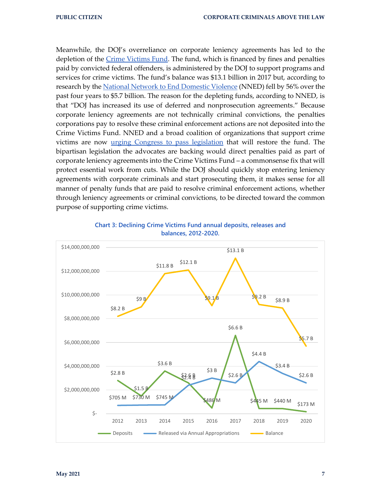Meanwhile, the DOJ's overreliance on corporate leniency agreements has led to the depletion of the [Crime Victims Fund.](https://ovc.ojp.gov/about/crime-victims-fund) The fund, which is financed by fines and penalties paid by convicted federal offenders, is administered by the DOJ to support programs and services for crime victims. The fund's balance was \$13.1 billion in 2017 but, according to research by th[e National Network to End Domestic Violence](https://nnedv.org/wp-content/uploads/2021/03/VOCA-Fix-and-FY22-2.pdf) (NNED) fell by 56% over the past four years to \$5.7 billion. The reason for the depleting funds, according to NNED, is that "DOJ has increased its use of deferred and nonprosecution agreements." Because corporate leniency agreements are not technically criminal convictions, the penalties corporations pay to resolve these criminal enforcement actions are not deposited into the Crime Victims Fund. NNED and a broad coalition of organizations that support crime victims are now urging [Congress to pass legislation](https://docs.google.com/document/d/16RoPKfy0DCNv0kbH3VCekyYiKyuXIz6nxvfPzGYQLGM/edit) that will restore the fund. The bipartisan legislation the advocates are backing would direct penalties paid as part of corporate leniency agreements into the Crime Victims Fund – a commonsense fix that will protect essential work from cuts. While the DOJ should quickly stop entering leniency agreements with corporate criminals and start prosecuting them, it makes sense for all manner of penalty funds that are paid to resolve criminal enforcement actions, whether through leniency agreements or criminal convictions, to be directed toward the common purpose of supporting crime victims.



#### **Chart 3: Declining Crime Victims Fund annual deposits, releases and balances, 2012-2020.**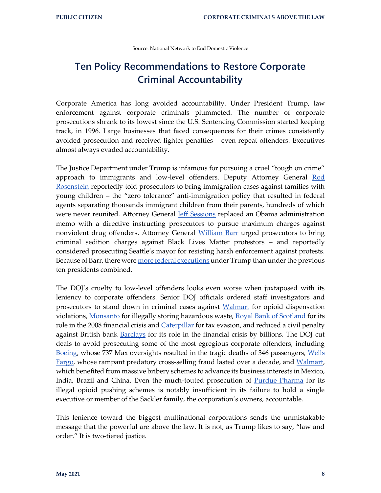Source: National Network to End Domestic Violence

### **Ten Policy Recommendations to Restore Corporate Criminal Accountability**

Corporate America has long avoided accountability. Under President Trump, law enforcement against corporate criminals plummeted. The number of corporate prosecutions shrank to its lowest since the U.S. Sentencing Commission started keeping track, in 1996. Large businesses that faced consequences for their crimes consistently avoided prosecution and received lighter penalties – even repeat offenders. Executives almost always evaded accountability.

The Justice Department under Trump is infamous for pursuing a cruel "tough on crime" approach to immigrants and low-level offenders. Deputy Attorney General Rod [Rosenstein](https://www.nytimes.com/2020/10/06/us/politics/family-separation-border-immigration-jeff-sessions-rod-rosenstein.html) reportedly told prosecutors to bring immigration cases against families with young children – the "zero tolerance" anti-immigration policy that resulted in federal agents separating thousands immigrant children from their parents, hundreds of which were never reunited. Attorney General *Jeff Sessions* replaced an Obama administration memo with a directive instructing prosecutors to pursue maximum charges against nonviolent drug offenders. Attorney General [William Barr](https://www.citizen.org/article/doj-shows-its-still-soft-on-corporate-crime-while-pursuing-extreme-prosecutions-of-protestors/) urged prosecutors to bring criminal sedition charges against Black Lives Matter protestors – and reportedly considered prosecuting Seattle's mayor for resisting harsh enforcement against protests. Because of Barr, there wer[e more federal executions](https://www.propublica.org/article/inside-trump-and-barrs-last-minute-killing-spree) under Trump than under the previous ten presidents combined.

The DOJ's cruelty to low-level offenders looks even worse when juxtaposed with its leniency to corporate offenders. Senior DOJ officials ordered staff investigators and prosecutors to stand down in criminal cases against [Walmart](https://www.propublica.org/article/walmart-was-almost-charged-criminally-over-opioids-trump-appointees-killed-the-indictment) for opioid dispensation violations, [Monsanto](https://www.pogo.org/investigation/2019/08/overruled-top-justice-department-appointees-quash-felony-charge-against-monsanto/) for illegally storing hazardous waste, [Royal Bank of Scotland](https://www.propublica.org/article/trump-political-appointees-overruled-settlements-with-barclays-royal-bank-of-scotland) for its role in the 2008 financial crisis and [Caterpillar](https://www.reuters.com/article/us-usa-barr-caterpillar-exclusive/exclusive-u-s-investigators-were-told-to-take-no-further-action-on-caterpillar-ex-client-of-barr-idUSKBN27Y2PO) for tax evasion, and reduced a civil penalty against British bank [Barclays](https://www.propublica.org/article/trump-political-appointees-overruled-settlements-with-barclays-royal-bank-of-scotland) for its role in the financial crisis by billions. The DOJ cut deals to avoid prosecuting some of the most egregious corporate offenders, including [Boeing,](https://www.justice.gov/opa/pr/boeing-charged-737-max-fraud-conspiracy-and-agrees-pay-over-25-billion) whose 737 Max oversights resulted in the tragic deaths of 346 passengers, Wells [Fargo,](https://www.justice.gov/opa/pr/wells-fargo-agrees-pay-3-billion-resolve-criminal-and-civil-investigations-sales-practices) whose rampant predatory cross-selling fraud lasted over a decade, and [Walmart,](https://www.justice.gov/opa/pr/walmart-inc-and-brazil-based-subsidiary-agree-pay-137-million-resolve-foreign-corrupt) which benefited from massive bribery schemes to advance its business interests in Mexico, India, Brazil and China. Even the much-touted prosecution of **Purdue Pharma** for its illegal opioid pushing schemes is notably insufficient in its failure to hold a single executive or member of the Sackler family, the corporation's owners, accountable.

This lenience toward the biggest multinational corporations sends the unmistakable message that the powerful are above the law. It is not, as Trump likes to say, "law and order." It is two-tiered justice.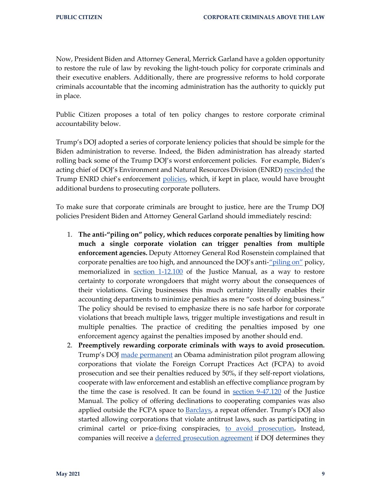Now, President Biden and Attorney General, Merrick Garland have a golden opportunity to restore the rule of law by revoking the light-touch policy for corporate criminals and their executive enablers. Additionally, there are progressive reforms to hold corporate criminals accountable that the incoming administration has the authority to quickly put in place.

Public Citizen proposes a total of ten policy changes to restore corporate criminal accountability below.

Trump's DOJ adopted a series of corporate leniency policies that should be simple for the Biden administration to reverse. Indeed, the Biden administration has already started rolling back some of the Trump DOJ's worst enforcement policies. For example, Biden's acting chief of DOJ's Environment and Natural Resources Division (ENRD) [rescinded](https://www.justice.gov/enrd/page/file/1364716/download) the Trump ENRD chief's enforcement [policies,](https://www.justice.gov/enrd/page/file/1355081/download) which, if kept in place, would have brought additional burdens to prosecuting corporate polluters.

To make sure that corporate criminals are brought to justice, here are the Trump DOJ policies President Biden and Attorney General Garland should immediately rescind:

- 1. **The anti-"piling on" policy, which reduces corporate penalties by limiting how much a single corporate violation can trigger penalties from multiple enforcement agencies.** Deputy Attorney General Rod Rosenstein complained that corporate penalties are too high, and announced the DOJ's anti-<u>["piling on"](https://www.justice.gov/opa/speech/deputy-attorney-general-rod-rosenstein-delivers-remarks-new-york-city-bar-white-collar)</u> policy, memorialized in [section 1-12.100](https://www.justice.gov/jm/jm-1-12000-coordination-parallel-criminal-civil-regulatory-and-administrative-proceedings) of the Justice Manual, as a way to restore certainty to corporate wrongdoers that might worry about the consequences of their violations. Giving businesses this much certainty literally enables their accounting departments to minimize penalties as mere "costs of doing business." The policy should be revised to emphasize there is no safe harbor for corporate violations that breach multiple laws, trigger multiple investigations and result in multiple penalties. The practice of crediting the penalties imposed by one enforcement agency against the penalties imposed by another should end.
- 2. **Preemptively rewarding corporate criminals with ways to avoid prosecution.**  Trump's DOJ [made permanent](https://www.justice.gov/opa/speech/deputy-attorney-general-rosenstein-delivers-remarks-34th-international-conference-foreign) an Obama administration pilot program allowing corporations that violate the Foreign Corrupt Practices Act (FCPA) to avoid prosecution and see their penalties reduced by 50%, if they self-report violations, cooperate with law enforcement and establish an effective compliance program by the time the case is resolved. It can be found in  $section\ 9-47.120$  of the Justice Manual. The policy of offering declinations to cooperating companies was also applied outside the FCPA space to **Barclays**, a repeat offender. Trump's DOJ also started allowing corporations that violate antitrust laws, such as participating in criminal cartel or price-fixing conspiracies, [to avoid prosecution](https://www.wsj.com/articles/justice-department-extends-compliance-breaks-to-antitrust-offenders-11562881560)**.** Instead, companies will receive a [deferred prosecution agreement](https://www.justice.gov/opa/speech/deputy-assistant-attorney-general-richard-powers-delivers-remarks-13th-international) if DOJ determines they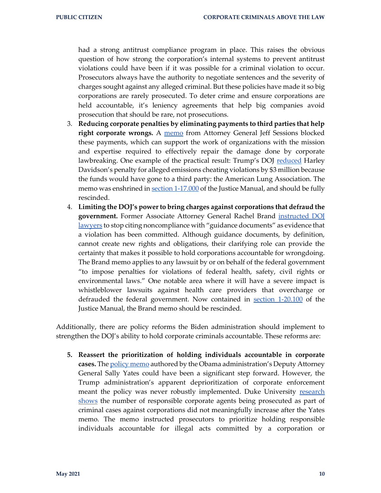had a strong antitrust compliance program in place. This raises the obvious question of how strong the corporation's internal systems to prevent antitrust violations could have been if it was possible for a criminal violation to occur. Prosecutors always have the authority to negotiate sentences and the severity of charges sought against any alleged criminal. But these policies have made it so big corporations are rarely prosecuted. To deter crime and ensure corporations are held accountable, it's leniency agreements that help big companies avoid prosecution that should be rare, not prosecutions.

- 3. **Reducing corporate penalties by eliminating payments to third parties that help**  right corporate wrongs. A [memo](https://www.justice.gov/opa/press-release/file/971826/download) from Attorney General Jeff Sessions blocked these payments, which can support the work of organizations with the mission and expertise required to effectively repair the damage done by corporate lawbreaking. One example of the practical result: Trump's DOJ [reduced](https://www.reuters.com/article/us-harley-davidson-emissions/10-u-s-states-object-to-epa-reducing-harley-davidson-emissions-penalty-idUSKBN1FL67P) Harley Davidson's penalty for alleged emissions cheating violations by \$3 million because the funds would have gone to a third party: the American Lung Association. The memo was enshrined i[n section 1-17.000](https://www.justice.gov/jm/jm/1-17000-settlement-payments-third-parties) of the Justice Manual, and should be fully rescinded.
- 4. **Limiting the DOJ's power to bring charges against corporations that defraud the government.** Former Associate Attorney General Rachel Brand [instructed DOJ](https://www.justice.gov/file/1028756/download)  [lawyers](https://www.justice.gov/file/1028756/download) to stop citing noncompliance with "guidance documents" as evidence that a violation has been committed. Although guidance documents, by definition, cannot create new rights and obligations, their clarifying role can provide the certainty that makes it possible to hold corporations accountable for wrongdoing. The Brand memo applies to any lawsuit by or on behalf of the federal government "to impose penalties for violations of federal health, safety, civil rights or environmental laws." One notable area where it will have a severe impact is whistleblower lawsuits against health care providers that overcharge or defrauded the federal government. Now contained in [section 1-20.100](https://www.justice.gov/jm/1-20000-limitation-use-guidance-documents-litigation#1-20.100) of the Justice Manual, the Brand memo should be rescinded.

Additionally, there are policy reforms the Biden administration should implement to strengthen the DOJ's ability to hold corporate criminals accountable. These reforms are:

**5. Reassert the prioritization of holding individuals accountable in corporate cases.** The [policy memo](https://www.justice.gov/archives/dag/file/769036/download) authored by the Obama administration's Deputy Attorney General Sally Yates could have been a significant step forward. However, the Trump administration's apparent deprioritization of corporate enforcement meant the policy was never robustly implemented. Duke University research [shows](https://poseidon01.ssrn.com/delivery.php?ID=906003110081095006095065077087090066060078093038088005118065125066007075095017124065018054125121048100034099103127102092095077047019027054010115024107098080013006024069002010096003120075068002110103123003107122095127088025117011069125095116098086001110&EXT=pdf&INDEX=TRUE) the number of responsible corporate agents being prosecuted as part of criminal cases against corporations did not meaningfully increase after the Yates memo. The memo instructed prosecutors to prioritize holding responsible individuals accountable for illegal acts committed by a corporation or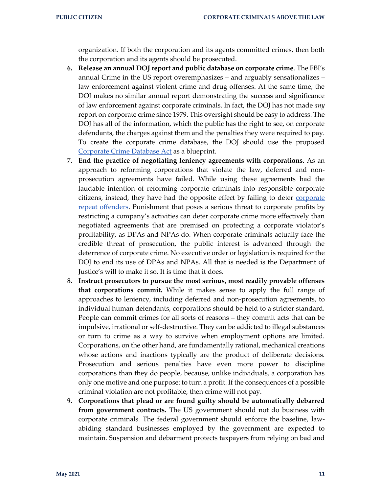organization. If both the corporation and its agents committed crimes, then both the corporation and its agents should be prosecuted.

- **6. Release an annual DOJ report and public database on corporate crime**. The FBI's annual Crime in the US report overemphasizes – and arguably sensationalizes – law enforcement against violent crime and drug offenses. At the same time, the DOJ makes no similar annual report demonstrating the success and significance of law enforcement against corporate criminals. In fact, the DOJ has not made *any* report on corporate crime since 1979. This oversight should be easy to address. The DOJ has all of the information, which the public has the right to see, on corporate defendants, the charges against them and the penalties they were required to pay. To create the corporate crime database, the DOJ should use the proposed [Corporate Crime Database Act](https://www.congress.gov/bill/115th-congress/house-bill/144) as a blueprint.
- 7. **End the practice of negotiating leniency agreements with corporations.** As an approach to reforming corporations that violate the law, deferred and nonprosecution agreements have failed. While using these agreements had the laudable intention of reforming corporate criminals into responsible corporate citizens, instead, they have had the opposite effect by failing to deter **corporate** [repeat offenders.](https://www.citizen.org/article/soft-on-corporate-crime-deferred-and-non-prosecution-repeat-offender-report/) Punishment that poses a serious threat to corporate profits by restricting a company's activities can deter corporate crime more effectively than negotiated agreements that are premised on protecting a corporate violator's profitability, as DPAs and NPAs do. When corporate criminals actually face the credible threat of prosecution, the public interest is advanced through the deterrence of corporate crime. No executive order or legislation is required for the DOJ to end its use of DPAs and NPAs. All that is needed is the Department of Justice's will to make it so. It is time that it does.
- **8. Instruct prosecutors to pursue the most serious, most readily provable offenses that corporations commit.** While it makes sense to apply the full range of approaches to leniency, including deferred and non-prosecution agreements, to individual human defendants, corporations should be held to a stricter standard. People can commit crimes for all sorts of reasons – they commit acts that can be impulsive, irrational or self-destructive. They can be addicted to illegal substances or turn to crime as a way to survive when employment options are limited. Corporations, on the other hand, are fundamentally rational, mechanical creations whose actions and inactions typically are the product of deliberate decisions. Prosecution and serious penalties have even more power to discipline corporations than they do people, because, unlike individuals, a corporation has only one motive and one purpose: to turn a profit. If the consequences of a possible criminal violation are not profitable, then crime will not pay.
- **9. Corporations that plead or are found guilty should be automatically debarred from government contracts.** The US government should not do business with corporate criminals. The federal government should enforce the baseline, lawabiding standard businesses employed by the government are expected to maintain. Suspension and debarment protects taxpayers from relying on bad and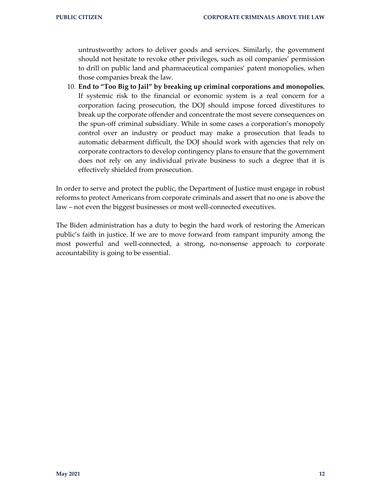untrustworthy actors to deliver goods and services. Similarly, the government should not hesitate to revoke other privileges, such as oil companies' permission to drill on public land and pharmaceutical companies' patent monopolies, when those companies break the law.

10. **End to "Too Big to Jail" by breaking up criminal corporations and monopolies.**  If systemic risk to the financial or economic system is a real concern for a corporation facing prosecution, the DOJ should impose forced divestitures to break up the corporate offender and concentrate the most severe consequences on the spun-off criminal subsidiary. While in some cases a corporation's monopoly control over an industry or product may make a prosecution that leads to automatic debarment difficult, the DOJ should work with agencies that rely on corporate contractors to develop contingency plans to ensure that the government does not rely on any individual private business to such a degree that it is effectively shielded from prosecution.

In order to serve and protect the public, the Department of Justice must engage in robust reforms to protect Americans from corporate criminals and assert that no one is above the law – not even the biggest businesses or most well-connected executives.

The Biden administration has a duty to begin the hard work of restoring the American public's faith in justice. If we are to move forward from rampant impunity among the most powerful and well-connected, a strong, no-nonsense approach to corporate accountability is going to be essential.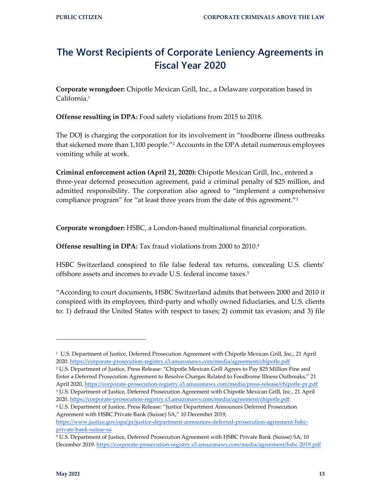### **The Worst Recipients of Corporate Leniency Agreements in Fiscal Year 2020**

**Corporate wrongdoer:** Chipotle Mexican Grill, Inc., a Delaware corporation based in California.<sup>1</sup>

**Offense resulting in DPA:** Food safety violations from 2015 to 2018.

The DOJ is charging the corporation for its involvement in "foodborne illness outbreaks that sickened more than 1,100 people."<sup>2</sup> Accounts in the DPA detail numerous employees vomiting while at work.

**Criminal enforcement action (April 21, 2020):** Chipotle Mexican Grill, Inc., entered a three-year deferred prosecution agreement, paid a criminal penalty of \$25 million, and admitted responsibility. The corporation also agreed to "implement a comprehensive compliance program" for "at least three years from the date of this agreement."<sup>3</sup>

**Corporate wrongdoer:** HSBC, a London-based multinational financial corporation.

**Offense resulting in DPA:** Tax fraud violations from 2000 to 2010.<sup>4</sup>

HSBC Switzerland conspired to file false federal tax returns, concealing U.S. clients' offshore assets and incomes to evade U.S. federal income taxes.<sup>5</sup>

"According to court documents, HSBC Switzerland admits that between 2000 and 2010 it conspired with its employees, third-party and wholly owned fiduciaries, and U.S. clients to: 1) defraud the United States with respect to taxes; 2) commit tax evasion; and 3) file

<sup>1</sup> U.S. Department of Justice, Deferred Prosecution Agreement with Chipotle Mexican Grill, Inc., 21 April 2020[. https://corporate-prosecution-registry.s3.amazonaws.com/media/agreement/chipotle.pdf](https://corporate-prosecution-registry.s3.amazonaws.com/media/agreement/chipotle.pdf)

<sup>2</sup> U.S. Department of Justice, Press Release: "Chipotle Mexican Grill Agrees to Pay \$25 Million Fine and Enter a Deferred Prosecution Agreement to Resolve Charges Related to Foodborne Illness Outbreaks," 21 April 2020,<https://corporate-prosecution-registry.s3.amazonaws.com/media/press-release/chipotle-pr.pdf> <sup>3</sup> U.S. Department of Justice, Deferred Prosecution Agreement with Chipotle Mexican Grill, Inc., 21 April

<sup>2020</sup>[. https://corporate-prosecution-registry.s3.amazonaws.com/media/agreement/chipotle.pdf](https://corporate-prosecution-registry.s3.amazonaws.com/media/agreement/chipotle.pdf) <sup>4</sup> U.S. Department of Justice, Press Release: "Justice Department Announces Deferred Prosecution Agreement with HSBC Private Bank (Suisse) SA," 10 December 2019,

[https://www.justice.gov/opa/pr/justice-department-announces-deferred-prosecution-agreement-hsbc](https://www.justice.gov/opa/pr/justice-department-announces-deferred-prosecution-agreement-hsbc-private-bank-suisse-sa)[private-bank-suisse-sa](https://www.justice.gov/opa/pr/justice-department-announces-deferred-prosecution-agreement-hsbc-private-bank-suisse-sa)

<sup>5</sup> U.S. Department of Justice, Deferred Prosecution Agreement with HSBC Private Bank (Suisse) SA, 10 December 2019.<https://corporate-prosecution-registry.s3.amazonaws.com/media/agreement/hsbc-2019.pdf>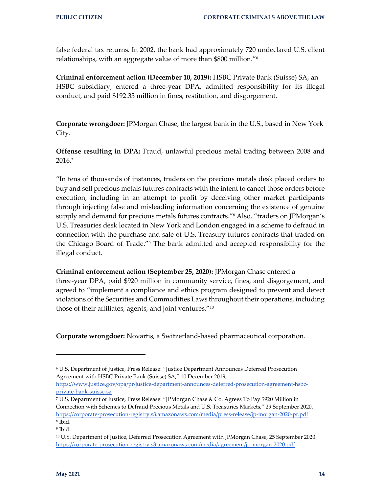false federal tax returns. In 2002, the bank had approximately 720 undeclared U.S. client relationships, with an aggregate value of more than \$800 million."<sup>6</sup>

**Criminal enforcement action (December 10, 2019):** HSBC Private Bank (Suisse) SA, an HSBC subsidiary, entered a three-year DPA, admitted responsibility for its illegal conduct, and paid \$192.35 million in fines, restitution, and disgorgement.

**Corporate wrongdoer:** JPMorgan Chase, the largest bank in the U.S., based in New York City.

**Offense resulting in DPA:** Fraud, unlawful precious metal trading between 2008 and 2016.<sup>7</sup>

"In tens of thousands of instances, traders on the precious metals desk placed orders to buy and sell precious metals futures contracts with the intent to cancel those orders before execution, including in an attempt to profit by deceiving other market participants through injecting false and misleading information concerning the existence of genuine supply and demand for precious metals futures contracts."<sup>8</sup> Also, "traders on JPMorgan's U.S. Treasuries desk located in New York and London engaged in a scheme to defraud in connection with the purchase and sale of U.S. Treasury futures contracts that traded on the Chicago Board of Trade."<sup>9</sup> The bank admitted and accepted responsibility for the illegal conduct.

**Criminal enforcement action (September 25, 2020):** JPMorgan Chase entered a three-year DPA, paid \$920 million in community service, fines, and disgorgement, and agreed to "implement a compliance and ethics program designed to prevent and detect violations of the Securities and Commodities Laws throughout their operations, including those of their affiliates, agents, and joint ventures."<sup>10</sup>

**Corporate wrongdoer:** Novartis, a Switzerland-based pharmaceutical corporation.

[https://www.justice.gov/opa/pr/justice-department-announces-deferred-prosecution-agreement-hsbc](https://www.justice.gov/opa/pr/justice-department-announces-deferred-prosecution-agreement-hsbc-private-bank-suisse-sa)[private-bank-suisse-sa](https://www.justice.gov/opa/pr/justice-department-announces-deferred-prosecution-agreement-hsbc-private-bank-suisse-sa)

<sup>6</sup> U.S. Department of Justice, Press Release: "Justice Department Announces Deferred Prosecution Agreement with HSBC Private Bank (Suisse) SA," 10 December 2019,

<sup>7</sup> U.S. Department of Justice, Press Release: "JPMorgan Chase & Co. Agrees To Pay \$920 Million in Connection with Schemes to Defraud Precious Metals and U.S. Treasuries Markets," 29 September 2020, <https://corporate-prosecution-registry.s3.amazonaws.com/media/press-release/jp-morgan-2020-pr.pdf> 8 Ibid.

<sup>9</sup> Ibid.

<sup>10</sup> U.S. Department of Justice, Deferred Prosecution Agreement with JPMorgan Chase, 25 September 2020. <https://corporate-prosecution-registry.s3.amazonaws.com/media/agreement/jp-morgan-2020.pdf>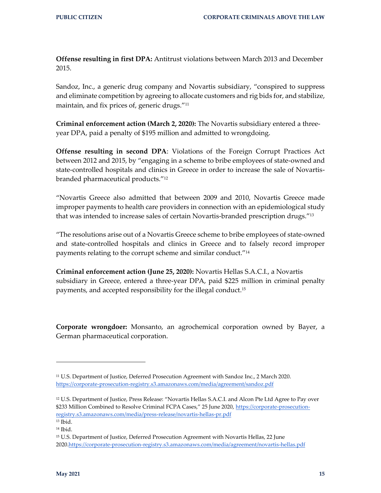**Offense resulting in first DPA:** Antitrust violations between March 2013 and December 2015.

Sandoz, Inc., a generic drug company and Novartis subsidiary, "conspired to suppress and eliminate competition by agreeing to allocate customers and rig bids for, and stabilize, maintain, and fix prices of, generic drugs."<sup>11</sup>

**Criminal enforcement action (March 2, 2020):** The Novartis subsidiary entered a threeyear DPA, paid a penalty of \$195 million and admitted to wrongdoing.

**Offense resulting in second DPA**: Violations of the Foreign Corrupt Practices Act between 2012 and 2015, by "engaging in a scheme to bribe employees of state-owned and state-controlled hospitals and clinics in Greece in order to increase the sale of Novartisbranded pharmaceutical products."<sup>12</sup>

"Novartis Greece also admitted that between 2009 and 2010, Novartis Greece made improper payments to health care providers in connection with an epidemiological study that was intended to increase sales of certain Novartis-branded prescription drugs."<sup>13</sup>

"The resolutions arise out of a Novartis Greece scheme to bribe employees of state-owned and state-controlled hospitals and clinics in Greece and to falsely record improper payments relating to the corrupt scheme and similar conduct."<sup>14</sup>

**Criminal enforcement action (June 25, 2020):** Novartis Hellas S.A.C.I., a Novartis subsidiary in Greece, entered a three-year DPA, paid \$225 million in criminal penalty payments, and accepted responsibility for the illegal conduct.<sup>15</sup>

**Corporate wrongdoer:** Monsanto, an agrochemical corporation owned by Bayer, a German pharmaceutical corporation.

<sup>11</sup> U.S. Department of Justice, Deferred Prosecution Agreement with Sandoz Inc., 2 March 2020. <https://corporate-prosecution-registry.s3.amazonaws.com/media/agreement/sandoz.pdf>

<sup>12</sup> U.S. Department of Justice, Press Release: "Novartis Hellas S.A.C.I. and Alcon Pte Ltd Agree to Pay over \$233 Million Combined to Resolve Criminal FCPA Cases," 25 June 2020, [https://corporate-prosecution](https://corporate-prosecution-registry.s3.amazonaws.com/media/press-release/novartis-hellas-pr.pdf)[registry.s3.amazonaws.com/media/press-release/novartis-hellas-pr.pdf](https://corporate-prosecution-registry.s3.amazonaws.com/media/press-release/novartis-hellas-pr.pdf)

<sup>13</sup> Ibid.

<sup>14</sup> Ibid.

<sup>&</sup>lt;sup>15</sup> U.S. Department of Justice, Deferred Prosecution Agreement with Novartis Hellas, 22 June 202[0.https://corporate-prosecution-registry.s3.amazonaws.com/media/agreement/novartis-hellas.pdf](https://corporate-prosecution-registry.s3.amazonaws.com/media/agreement/novartis-hellas.pdf)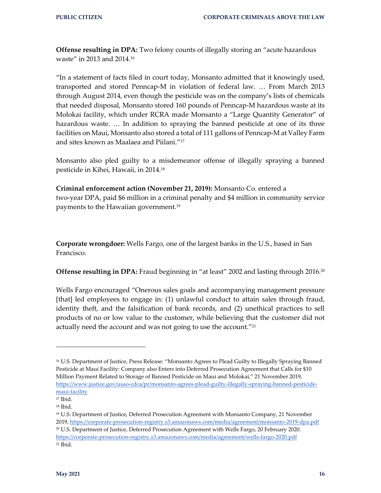**Offense resulting in DPA:** Two felony counts of illegally storing an "acute hazardous" waste" in 2013 and 2014.<sup>16</sup>

"In a statement of facts filed in court today, Monsanto admitted that it knowingly used, transported and stored Penncap-M in violation of federal law. … From March 2013 through August 2014, even though the pesticide was on the company's lists of chemicals that needed disposal, Monsanto stored 160 pounds of Penncap-M hazardous waste at its Molokai facility, which under RCRA made Monsanto a "Large Quantity Generator" of hazardous waste. … In addition to spraying the banned pesticide at one of its three facilities on Maui, Monsanto also stored a total of 111 gallons of Penncap-M at Valley Farm and sites known as Maalaea and Piilani."<sup>17</sup>

Monsanto also pled guilty to a misdemeanor offense of illegally spraying a banned pesticide in Kihei, Hawaii, in 2014.<sup>18</sup>

**Criminal enforcement action (November 21, 2019):** Monsanto Co. entered a two-year DPA, paid \$6 million in a criminal penalty and \$4 million in community service payments to the Hawaiian government.<sup>19</sup>

**Corporate wrongdoer:** Wells Fargo, one of the largest banks in the U.S., based in San Francisco.

**Offense resulting in DPA:** Fraud beginning in "at least" 2002 and lasting through 2016.<sup>20</sup>

Wells Fargo encouraged "Onerous sales goals and accompanying management pressure [that] led employees to engage in: (1) unlawful conduct to attain sales through fraud, identity theft, and the falsification of bank records, and (2) unethical practices to sell products of no or low value to the customer, while believing that the customer did not actually need the account and was not going to use the account."<sup>21</sup>

<sup>16</sup> U.S. Department of Justice, Press Release: "Monsanto Agrees to Plead Guilty to Illegally Spraying Banned Pesticide at Maui Facility: Company also Enters into Deferred Prosecution Agreement that Calls for \$10 Million Payment Related to Storage of Banned Pesticide on Maui and Molokai," 21 November 2019, [https://www.justice.gov/usao-cdca/pr/monsanto-agrees-plead-guilty-illegally-spraying-banned-pesticide](https://www.justice.gov/usao-cdca/pr/monsanto-agrees-plead-guilty-illegally-spraying-banned-pesticide-maui-facility)[maui-facility](https://www.justice.gov/usao-cdca/pr/monsanto-agrees-plead-guilty-illegally-spraying-banned-pesticide-maui-facility)

<sup>17</sup> Ibid.

<sup>18</sup> Ibid.

<sup>19</sup> U.S. Department of Justice, Deferred Prosecution Agreement with Monsanto Company, 21 November 2019[, https://corporate-prosecution-registry.s3.amazonaws.com/media/agreement/monsanto-2019-dpa.pdf](https://corporate-prosecution-registry.s3.amazonaws.com/media/agreement/monsanto-2019-dpa.pdf) <sup>20</sup> U.S. Department of Justice, Deferred Prosecution Agreement with Wells Fargo, 20 February 2020. <https://corporate-prosecution-registry.s3.amazonaws.com/media/agreement/wells-fargo-2020.pdf> <sup>21</sup> Ibid.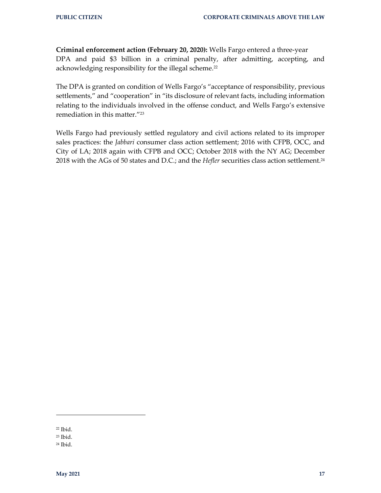**Criminal enforcement action (February 20, 2020):** Wells Fargo entered a three-year DPA and paid \$3 billion in a criminal penalty, after admitting, accepting, and acknowledging responsibility for the illegal scheme.<sup>22</sup>

The DPA is granted on condition of Wells Fargo's "acceptance of responsibility, previous settlements," and "cooperation" in "its disclosure of relevant facts, including information relating to the individuals involved in the offense conduct, and Wells Fargo's extensive remediation in this matter."<sup>23</sup>

Wells Fargo had previously settled regulatory and civil actions related to its improper sales practices: the *Jabbari* consumer class action settlement; 2016 with CFPB, OCC, and City of LA; 2018 again with CFPB and OCC; October 2018 with the NY AG; December 2018 with the AGs of 50 states and D.C.; and the *Hefler* securities class action settlement.<sup>24</sup>

<sup>22</sup> Ibid.

<sup>23</sup> Ibid.

<sup>24</sup> Ibid.